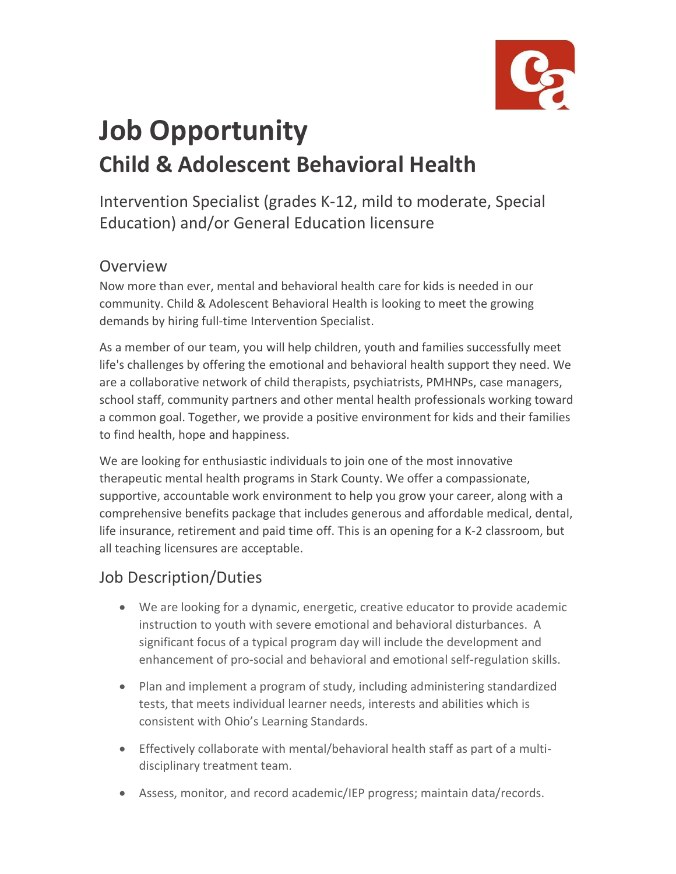

# **Job Opportunity Child & Adolescent Behavioral Health**

Intervention Specialist (grades K-12, mild to moderate, Special Education) and/or General Education licensure

#### Overview

Now more than ever, mental and behavioral health care for kids is needed in our community. Child & Adolescent Behavioral Health is looking to meet the growing demands by hiring full-time Intervention Specialist.

As a member of our team, you will help children, youth and families successfully meet life's challenges by offering the emotional and behavioral health support they need. We are a collaborative network of child therapists, psychiatrists, PMHNPs, case managers, school staff, community partners and other mental health professionals working toward a common goal. Together, we provide a positive environment for kids and their families to find health, hope and happiness.

We are looking for enthusiastic individuals to join one of the most innovative therapeutic mental health programs in Stark County. We offer a compassionate, supportive, accountable work environment to help you grow your career, along with a comprehensive benefits package that includes generous and affordable medical, dental, life insurance, retirement and paid time off. This is an opening for a K-2 classroom, but all teaching licensures are acceptable.

#### Job Description/Duties

- We are looking for a dynamic, energetic, creative educator to provide academic instruction to youth with severe emotional and behavioral disturbances. A significant focus of a typical program day will include the development and enhancement of pro-social and behavioral and emotional self-regulation skills.
- Plan and implement a program of study, including administering standardized tests, that meets individual learner needs, interests and abilities which is consistent with Ohio's Learning Standards.
- Effectively collaborate with mental/behavioral health staff as part of a multidisciplinary treatment team.
- Assess, monitor, and record academic/IEP progress; maintain data/records.